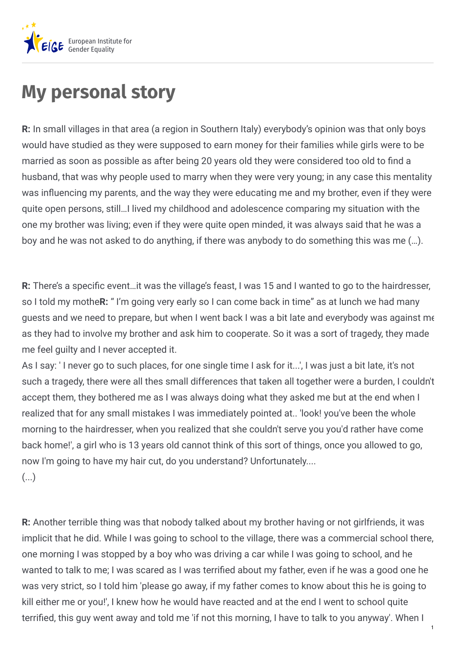

## **My personal story**

**R:** In small villages in that area (a region in Southern Italy) everybody's opinion was that only boys would have studied as they were supposed to earn money for their families while girls were to be married as soon as possible as after being 20 years old they were considered too old to find a husband, that was why people used to marry when they were very young; in any case this mentality was influencing my parents, and the way they were educating me and my brother, even if they were quite open persons, still…I lived my childhood and adolescence comparing my situation with the one my brother was living; even if they were quite open minded, it was always said that he was a boy and he was not asked to do anything, if there was anybody to do something this was me (…).

**R:** There's a specific event...it was the village's feast, I was 15 and I wanted to go to the hairdresser, so I told my mothe**R:** " I'm going very early so I can come back in time" as at lunch we had many guests and we need to prepare, but when I went back I was a bit late and everybody was against me as they had to involve my brother and ask him to cooperate. So it was a sort of tragedy, they made me feel guilty and I never accepted it.

As I say: ' I never go to such places, for one single time I ask for it...', I was just a bit late, it's not such a tragedy, there were all thes small differences that taken all together were a burden, I couldn't accept them, they bothered me as I was always doing what they asked me but at the end when I realized that for any small mistakes I was immediately pointed at.. 'look! you've been the whole morning to the hairdresser, when you realized that she couldn't serve you you'd rather have come back home!', a girl who is 13 years old cannot think of this sort of things, once you allowed to go, now I'm going to have my hair cut, do you understand? Unfortunately....

 $\left(\ldots\right)$ 

**R:** Another terrible thing was that nobody talked about my brother having or not girlfriends, it was implicit that he did. While I was going to school to the village, there was a commercial school there, one morning I was stopped by a boy who was driving a car while I was going to school, and he wanted to talk to me; I was scared as I was terrified about my father, even if he was a good one he was very strict, so I told him 'please go away, if my father comes to know about this he is going to kill either me or you!', I knew how he would have reacted and at the end I went to school quite terrified, this guy went away and told me 'if not this morning, I have to talk to you anyway'. When I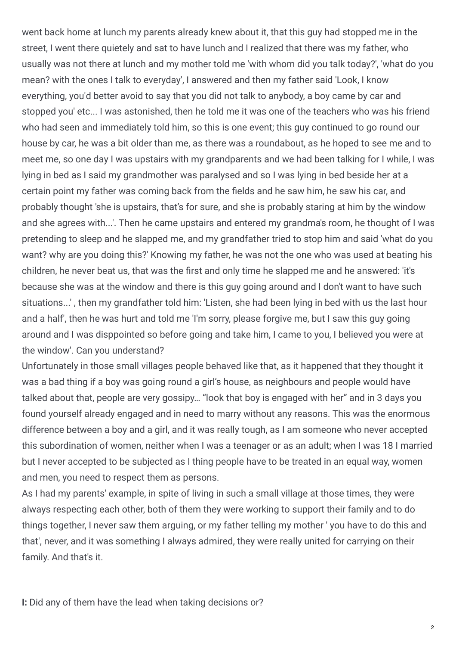went back home at lunch my parents already knew about it, that this guy had stopped me in the street, I went there quietely and sat to have lunch and I realized that there was my father, who usually was not there at lunch and my mother told me 'with whom did you talk today?', 'what do you mean? with the ones I talk to everyday', I answered and then my father said 'Look, I know everything, you'd better avoid to say that you did not talk to anybody, a boy came by car and stopped you' etc... I was astonished, then he told me it was one of the teachers who was his friend who had seen and immediately told him, so this is one event; this guy continued to go round our house by car, he was a bit older than me, as there was a roundabout, as he hoped to see me and to meet me, so one day I was upstairs with my grandparents and we had been talking for I while, I was lying in bed as I said my grandmother was paralysed and so I was lying in bed beside her at a certain point my father was coming back from the fields and he saw him, he saw his car, and probably thought 'she is upstairs, that's for sure, and she is probably staring at him by the window and she agrees with...'. Then he came upstairs and entered my grandma's room, he thought of I was pretending to sleep and he slapped me, and my grandfather tried to stop him and said 'what do you want? why are you doing this?' Knowing my father, he was not the one who was used at beating his children, he never beat us, that was the first and only time he slapped me and he answered: 'it's because she was at the window and there is this guy going around and I don't want to have such situations...' , then my grandfather told him: 'Listen, she had been lying in bed with us the last hour and a half', then he was hurt and told me 'I'm sorry, please forgive me, but I saw this guy going around and I was disppointed so before going and take him, I came to you, I believed you were at the window'. Can you understand?

Unfortunately in those small villages people behaved like that, as it happened that they thought it was a bad thing if a boy was going round a girl's house, as neighbours and people would have talked about that, people are very gossipy… "look that boy is engaged with her" and in 3 days you found yourself already engaged and in need to marry without any reasons. This was the enormous difference between a boy and a girl, and it was really tough, as I am someone who never accepted this subordination of women, neither when I was a teenager or as an adult; when I was 18 I married but I never accepted to be subjected as I thing people have to be treated in an equal way, women and men, you need to respect them as persons.

As I had my parents' example, in spite of living in such a small village at those times, they were always respecting each other, both of them they were working to support their family and to do things together, I never saw them arguing, or my father telling my mother ' you have to do this and that', never, and it was something I always admired, they were really united for carrying on their family. And that's it.

**I:** Did any of them have the lead when taking decisions or?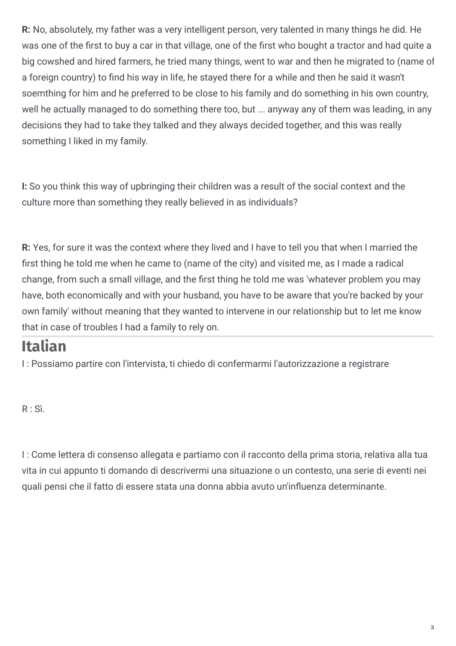**R:** No, absolutely, my father was a very intelligent person, very talented in many things he did. He was one of the first to buy a car in that village, one of the first who bought a tractor and had quite a big cowshed and hired farmers, he tried many things, went to war and then he migrated to (name of a foreign country) to find his way in life, he stayed there for a while and then he said it wasn't soemthing for him and he preferred to be close to his family and do something in his own country, well he actually managed to do something there too, but ... anyway any of them was leading, in any decisions they had to take they talked and they always decided together, and this was really something I liked in my family.

**I:** So you think this way of upbringing their children was a result of the social context and the culture more than something they really believed in as individuals?

**R:** Yes, for sure it was the context where they lived and I have to tell you that when I married the first thing he told me when he came to (name of the city) and visited me, as I made a radical change, from such a small village, and the first thing he told me was 'whatever problem you may have, both economically and with your husband, you have to be aware that you're backed by your own family' without meaning that they wanted to intervene in our relationship but to let me know that in case of troubles I had a family to rely on.

## **Italian**

I : Possiamo partire con l'intervista, ti chiedo di confermarmi l'autorizzazione a registrare

 $R : S$ ì.

I : Come lettera di consenso allegata e partiamo con il racconto della prima storia, relativa alla tua vita in cui appunto ti domando di descrivermi una situazione o un contesto, una serie di eventi nei quali pensi che il fatto di essere stata una donna abbia avuto un'influenza determinante.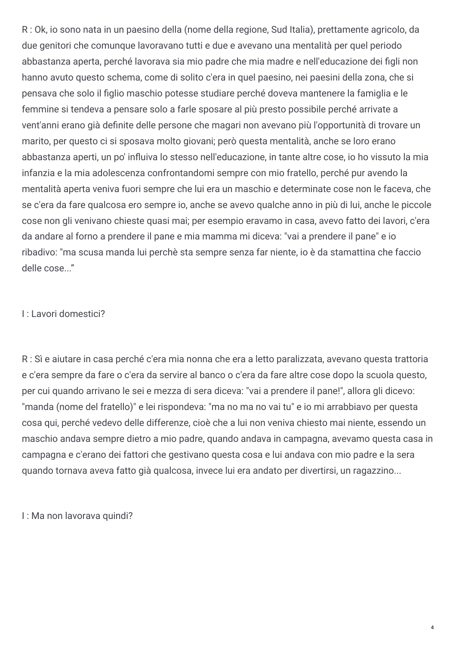R : Ok, io sono nata in un paesino della (nome della regione, Sud Italia), prettamente agricolo, da due genitori che comunque lavoravano tutti e due e avevano una mentalità per quel periodo abbastanza aperta, perché lavorava sia mio padre che mia madre e nell'educazione dei figli non hanno avuto questo schema, come di solito c'era in quel paesino, nei paesini della zona, che si pensava che solo il figlio maschio potesse studiare perché doveva mantenere la famiglia e le femmine si tendeva a pensare solo a farle sposare al più presto possibile perché arrivate a vent'anni erano già definite delle persone che magari non avevano più l'opportunità di trovare un marito, per questo ci si sposava molto giovani; però questa mentalità, anche se loro erano abbastanza aperti, un po' influiva lo stesso nell'educazione, in tante altre cose, io ho vissuto la mia infanzia e la mia adolescenza confrontandomi sempre con mio fratello, perché pur avendo la mentalità aperta veniva fuori sempre che lui era un maschio e determinate cose non le faceva, che se c'era da fare qualcosa ero sempre io, anche se avevo qualche anno in più di lui, anche le piccole cose non gli venivano chieste quasi mai; per esempio eravamo in casa, avevo fatto dei lavori, c'era da andare al forno a prendere il pane e mia mamma mi diceva: "vai a prendere il pane" e io ribadivo: "ma scusa manda lui perchè sta sempre senza far niente, io è da stamattina che faccio delle cose..."

## I : Lavori domestici?

R : Sì e aiutare in casa perché c'era mia nonna che era a letto paralizzata, avevano questa trattoria e c'era sempre da fare o c'era da servire al banco o c'era da fare altre cose dopo la scuola questo, per cui quando arrivano le sei e mezza di sera diceva: "vai a prendere il pane!", allora gli dicevo: "manda (nome del fratello)" e lei rispondeva: "ma no ma no vai tu" e io mi arrabbiavo per questa cosa qui, perché vedevo delle differenze, cioè che a lui non veniva chiesto mai niente, essendo un maschio andava sempre dietro a mio padre, quando andava in campagna, avevamo questa casa in campagna e c'erano dei fattori che gestivano questa cosa e lui andava con mio padre e la sera quando tornava aveva fatto già qualcosa, invece lui era andato per divertirsi, un ragazzino...

I : Ma non lavorava quindi?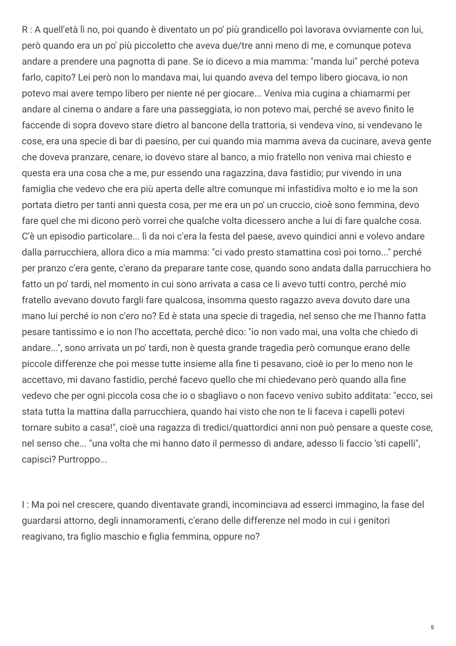R : A quell'età lì no, poi quando è diventato un po' più grandicello poi lavorava ovviamente con lui, però quando era un po' più piccoletto che aveva due/tre anni meno di me, e comunque poteva andare a prendere una pagnotta di pane. Se io dicevo a mia mamma: "manda lui" perché poteva farlo, capito? Lei però non lo mandava mai, lui quando aveva del tempo libero giocava, io non potevo mai avere tempo libero per niente né per giocare... Veniva mia cugina a chiamarmi per andare al cinema o andare a fare una passeggiata, io non potevo mai, perché se avevo finito le faccende di sopra dovevo stare dietro al bancone della trattoria, si vendeva vino, si vendevano le cose, era una specie di bar di paesino, per cui quando mia mamma aveva da cucinare, aveva gente che doveva pranzare, cenare, io dovevo stare al banco, a mio fratello non veniva mai chiesto e questa era una cosa che a me, pur essendo una ragazzina, dava fastidio; pur vivendo in una famiglia che vedevo che era più aperta delle altre comunque mi infastidiva molto e io me la son portata dietro per tanti anni questa cosa, per me era un po' un cruccio, cioè sono femmina, devo fare quel che mi dicono però vorrei che qualche volta dicessero anche a lui di fare qualche cosa. C'è un episodio particolare... lì da noi c'era la festa del paese, avevo quindici anni e volevo andare dalla parrucchiera, allora dico a mia mamma: "ci vado presto stamattina così poi torno..." perché per pranzo c'era gente, c'erano da preparare tante cose, quando sono andata dalla parrucchiera ho fatto un po' tardi, nel momento in cui sono arrivata a casa ce li avevo tutti contro, perché mio fratello avevano dovuto fargli fare qualcosa, insomma questo ragazzo aveva dovuto dare una mano lui perché io non c'ero no? Ed è stata una specie di tragedia, nel senso che me l'hanno fatta pesare tantissimo e io non l'ho accettata, perché dico: "io non vado mai, una volta che chiedo di andare...", sono arrivata un po' tardi, non è questa grande tragedia però comunque erano delle piccole differenze che poi messe tutte insieme alla fine ti pesavano, cioè io per lo meno non le accettavo, mi davano fastidio, perché facevo quello che mi chiedevano però quando alla fine vedevo che per ogni piccola cosa che io o sbagliavo o non facevo venivo subito additata: "ecco, sei stata tutta la mattina dalla parrucchiera, quando hai visto che non te li faceva i capelli potevi tornare subito a casa!", cioè una ragazza di tredici/quattordici anni non può pensare a queste cose, nel senso che... "una volta che mi hanno dato il permesso di andare, adesso li faccio 'sti capelli", capisci? Purtroppo...

I : Ma poi nel crescere, quando diventavate grandi, incominciava ad esserci immagino, la fase del guardarsi attorno, degli innamoramenti, c'erano delle differenze nel modo in cui i genitori reagivano, tra figlio maschio e figlia femmina, oppure no?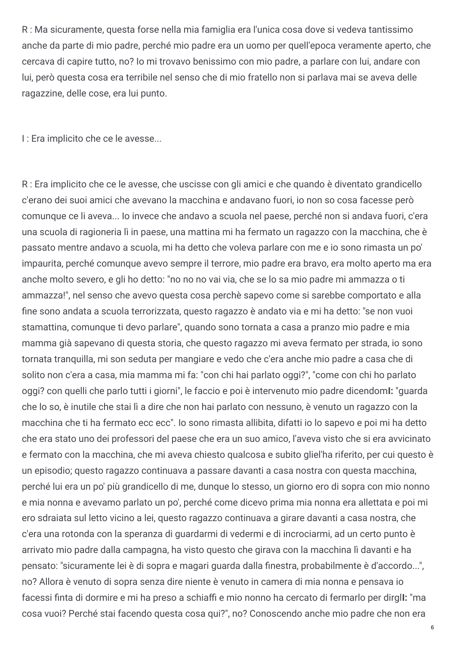R : Ma sicuramente, questa forse nella mia famiglia era l'unica cosa dove si vedeva tantissimo anche da parte di mio padre, perché mio padre era un uomo per quell'epoca veramente aperto, che cercava di capire tutto, no? Io mi trovavo benissimo con mio padre, a parlare con lui, andare con lui, però questa cosa era terribile nel senso che di mio fratello non si parlava mai se aveva delle ragazzine, delle cose, era lui punto.

I : Era implicito che ce le avesse...

R : Era implicito che ce le avesse, che uscisse con gli amici e che quando è diventato grandicello c'erano dei suoi amici che avevano la macchina e andavano fuori, io non so cosa facesse però comunque ce li aveva... Io invece che andavo a scuola nel paese, perché non si andava fuori, c'era una scuola di ragioneria lì in paese, una mattina mi ha fermato un ragazzo con la macchina, che è passato mentre andavo a scuola, mi ha detto che voleva parlare con me e io sono rimasta un po' impaurita, perché comunque avevo sempre il terrore, mio padre era bravo, era molto aperto ma era anche molto severo, e gli ho detto: "no no no vai via, che se lo sa mio padre mi ammazza o ti ammazza!", nel senso che avevo questa cosa perchè sapevo come si sarebbe comportato e alla fine sono andata a scuola terrorizzata, questo ragazzo è andato via e mi ha detto: "se non vuoi stamattina, comunque ti devo parlare", quando sono tornata a casa a pranzo mio padre e mia mamma già sapevano di questa storia, che questo ragazzo mi aveva fermato per strada, io sono tornata tranquilla, mi son seduta per mangiare e vedo che c'era anche mio padre a casa che di solito non c'era a casa, mia mamma mi fa: "con chi hai parlato oggi?", "come con chi ho parlato oggi? con quelli che parlo tutti i giorni", le faccio e poi è intervenuto mio padre dicendom**I:** "guarda che lo so, è inutile che stai lì a dire che non hai parlato con nessuno, è venuto un ragazzo con la macchina che ti ha fermato ecc ecc". Io sono rimasta allibita, difatti io lo sapevo e poi mi ha detto che era stato uno dei professori del paese che era un suo amico, l'aveva visto che si era avvicinato e fermato con la macchina, che mi aveva chiesto qualcosa e subito gliel'ha riferito, per cui questo è un episodio; questo ragazzo continuava a passare davanti a casa nostra con questa macchina, perché lui era un po' più grandicello di me, dunque lo stesso, un giorno ero di sopra con mio nonno e mia nonna e avevamo parlato un po', perché come dicevo prima mia nonna era allettata e poi mi ero sdraiata sul letto vicino a lei, questo ragazzo continuava a girare davanti a casa nostra, che c'era una rotonda con la speranza di guardarmi di vedermi e di incrociarmi, ad un certo punto è arrivato mio padre dalla campagna, ha visto questo che girava con la macchina lì davanti e ha pensato: "sicuramente lei è di sopra e magari quarda dalla finestra, probabilmente è d'accordo...", no? Allora è venuto di sopra senza dire niente è venuto in camera di mia nonna e pensava io facessi finta di dormire e mi ha preso a schiaffi e mio nonno ha cercato di fermarlo per dirgli: "ma cosa vuoi? Perché stai facendo questa cosa qui?", no? Conoscendo anche mio padre che non era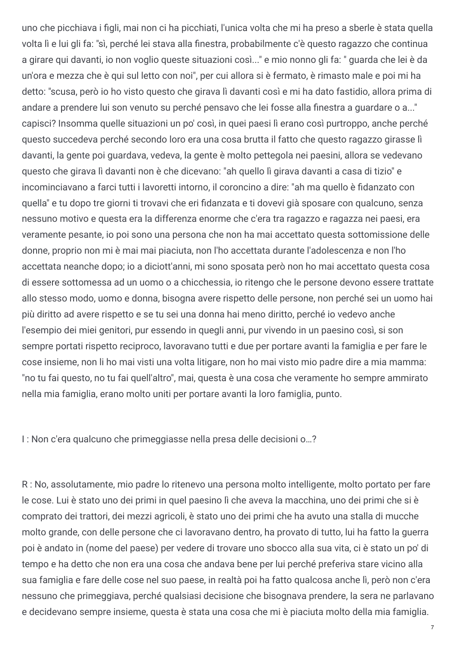uno che picchiava i figli, mai non ci ha picchiati, l'unica volta che mi ha preso a sberle è stata quella volta lì e lui gli fa: "sì, perché lei stava alla finestra, probabilmente c'è questo ragazzo che continua a girare qui davanti, io non voglio queste situazioni così..." e mio nonno gli fa: " guarda che lei è da un'ora e mezza che è qui sul letto con noi", per cui allora si è fermato, è rimasto male e poi mi ha detto: "scusa, però io ho visto questo che girava lì davanti così e mi ha dato fastidio, allora prima di andare a prendere lui son venuto su perché pensavo che lei fosse alla finestra a quardare o a..." capisci? Insomma quelle situazioni un po' così, in quei paesi lì erano così purtroppo, anche perché questo succedeva perché secondo loro era una cosa brutta il fatto che questo ragazzo girasse lì davanti, la gente poi guardava, vedeva, la gente è molto pettegola nei paesini, allora se vedevano questo che girava lì davanti non è che dicevano: "ah quello lì girava davanti a casa di tizio" e incominciavano a farci tutti i lavoretti intorno, il coroncino a dire: "ah ma quello è fidanzato con quella" e tu dopo tre giorni ti trovavi che eri fidanzata e ti dovevi già sposare con qualcuno, senza nessuno motivo e questa era la differenza enorme che c'era tra ragazzo e ragazza nei paesi, era veramente pesante, io poi sono una persona che non ha mai accettato questa sottomissione delle donne, proprio non mi è mai mai piaciuta, non l'ho accettata durante l'adolescenza e non l'ho accettata neanche dopo; io a diciott'anni, mi sono sposata però non ho mai accettato questa cosa di essere sottomessa ad un uomo o a chicchessia, io ritengo che le persone devono essere trattate allo stesso modo, uomo e donna, bisogna avere rispetto delle persone, non perché sei un uomo hai più diritto ad avere rispetto e se tu sei una donna hai meno diritto, perché io vedevo anche l'esempio dei miei genitori, pur essendo in quegli anni, pur vivendo in un paesino così, si son sempre portati rispetto reciproco, lavoravano tutti e due per portare avanti la famiglia e per fare le cose insieme, non li ho mai visti una volta litigare, non ho mai visto mio padre dire a mia mamma: "no tu fai questo, no tu fai quell'altro", mai, questa è una cosa che veramente ho sempre ammirato nella mia famiglia, erano molto uniti per portare avanti la loro famiglia, punto.

I : Non c'era qualcuno che primeggiasse nella presa delle decisioni o…?

R : No, assolutamente, mio padre lo ritenevo una persona molto intelligente, molto portato per fare le cose. Lui è stato uno dei primi in quel paesino lì che aveva la macchina, uno dei primi che si è comprato dei trattori, dei mezzi agricoli, è stato uno dei primi che ha avuto una stalla di mucche molto grande, con delle persone che ci lavoravano dentro, ha provato di tutto, lui ha fatto la guerra poi è andato in (nome del paese) per vedere di trovare uno sbocco alla sua vita, ci è stato un po' di tempo e ha detto che non era una cosa che andava bene per lui perché preferiva stare vicino alla sua famiglia e fare delle cose nel suo paese, in realtà poi ha fatto qualcosa anche lì, però non c'era nessuno che primeggiava, perché qualsiasi decisione che bisognava prendere, la sera ne parlavano e decidevano sempre insieme, questa è stata una cosa che mi è piaciuta molto della mia famiglia.